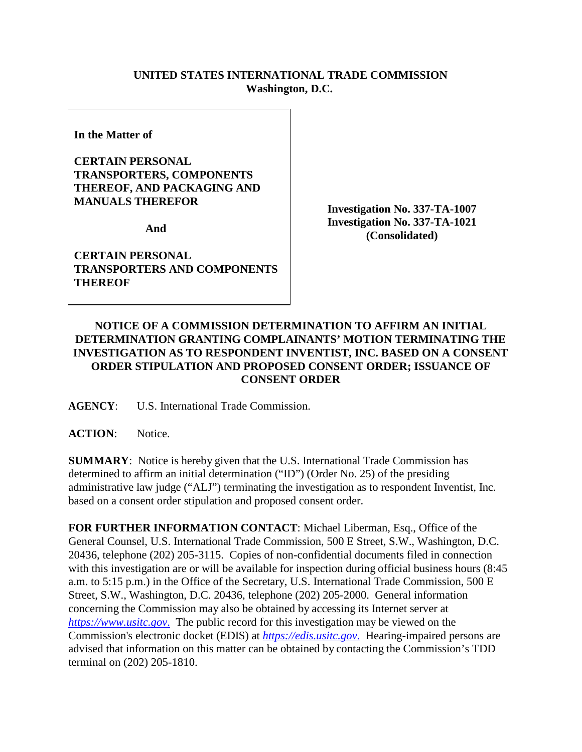## **UNITED STATES INTERNATIONAL TRADE COMMISSION Washington, D.C.**

**In the Matter of** 

## **CERTAIN PERSONAL TRANSPORTERS, COMPONENTS THEREOF, AND PACKAGING AND MANUALS THEREFOR**

**And** 

**CERTAIN PERSONAL TRANSPORTERS AND COMPONENTS THEREOF**

**Investigation No. 337-TA-1007 Investigation No. 337-TA-1021 (Consolidated)**

## **NOTICE OF A COMMISSION DETERMINATION TO AFFIRM AN INITIAL DETERMINATION GRANTING COMPLAINANTS' MOTION TERMINATING THE INVESTIGATION AS TO RESPONDENT INVENTIST, INC. BASED ON A CONSENT ORDER STIPULATION AND PROPOSED CONSENT ORDER; ISSUANCE OF CONSENT ORDER**

**AGENCY**: U.S. International Trade Commission.

**ACTION**: Notice.

**SUMMARY**: Notice is hereby given that the U.S. International Trade Commission has determined to affirm an initial determination ("ID") (Order No. 25) of the presiding administrative law judge ("ALJ") terminating the investigation as to respondent Inventist, Inc. based on a consent order stipulation and proposed consent order.

**FOR FURTHER INFORMATION CONTACT**: Michael Liberman, Esq., Office of the General Counsel, U.S. International Trade Commission, 500 E Street, S.W., Washington, D.C. 20436, telephone (202) 205-3115. Copies of non-confidential documents filed in connection with this investigation are or will be available for inspection during official business hours (8:45 a.m. to 5:15 p.m.) in the Office of the Secretary, U.S. International Trade Commission, 500 E Street, S.W., Washington, D.C. 20436, telephone (202) 205-2000. General information concerning the Commission may also be obtained by accessing its Internet server at *[https://www.usitc.gov](https://www.usitc.gov./)*. The public record for this investigation may be viewed on the Commission's electronic docket (EDIS) at *[https://edis.usitc.gov](https://edis.usitc.gov./)*. Hearing-impaired persons are advised that information on this matter can be obtained by contacting the Commission's TDD terminal on (202) 205-1810.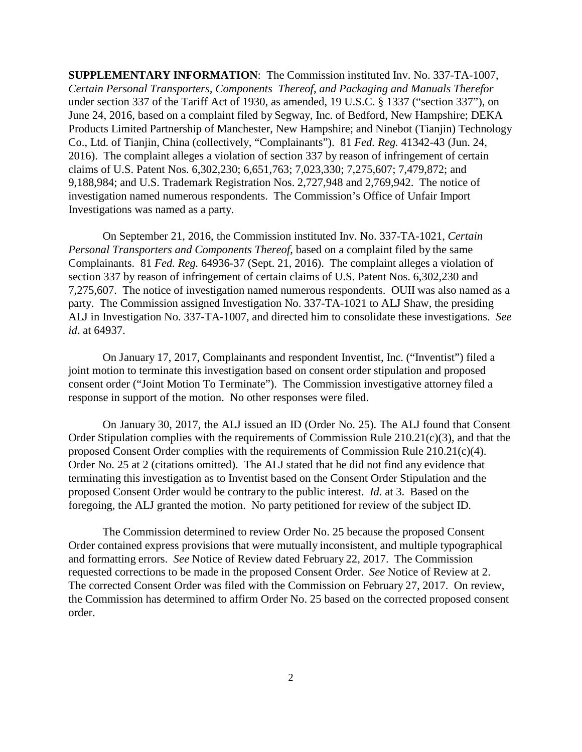**SUPPLEMENTARY INFORMATION**: The Commission instituted Inv. No. 337-TA-1007, *Certain Personal Transporters, Components Thereof, and Packaging and Manuals Therefor*  under section 337 of the Tariff Act of 1930, as amended, 19 U.S.C. § 1337 ("section 337"), on June 24, 2016, based on a complaint filed by Segway, Inc. of Bedford, New Hampshire; DEKA Products Limited Partnership of Manchester, New Hampshire; and Ninebot (Tianjin) Technology Co., Ltd. of Tianjin, China (collectively, "Complainants"). 81 *Fed. Reg.* 41342-43 (Jun. 24, 2016). The complaint alleges a violation of section 337 by reason of infringement of certain claims of U.S. Patent Nos. 6,302,230; 6,651,763; 7,023,330; 7,275,607; 7,479,872; and 9,188,984; and U.S. Trademark Registration Nos. 2,727,948 and 2,769,942. The notice of investigation named numerous respondents. The Commission's Office of Unfair Import Investigations was named as a party.

On September 21, 2016, the Commission instituted Inv. No. 337-TA-1021, *Certain Personal Transporters and Components Thereof*, based on a complaint filed by the same Complainants. 81 *Fed. Reg.* 64936-37 (Sept. 21, 2016). The complaint alleges a violation of section 337 by reason of infringement of certain claims of U.S. Patent Nos. 6,302,230 and 7,275,607. The notice of investigation named numerous respondents. OUII was also named as a party. The Commission assigned Investigation No. 337-TA-1021 to ALJ Shaw, the presiding ALJ in Investigation No. 337-TA-1007, and directed him to consolidate these investigations. *See id*. at 64937.

On January 17, 2017, Complainants and respondent Inventist, Inc. ("Inventist") filed a joint motion to terminate this investigation based on consent order stipulation and proposed consent order ("Joint Motion To Terminate"). The Commission investigative attorney filed a response in support of the motion. No other responses were filed.

On January 30, 2017, the ALJ issued an ID (Order No. 25). The ALJ found that Consent Order Stipulation complies with the requirements of Commission Rule 210.21(c)(3), and that the proposed Consent Order complies with the requirements of Commission Rule 210.21(c)(4). Order No. 25 at 2 (citations omitted). The ALJ stated that he did not find any evidence that terminating this investigation as to Inventist based on the Consent Order Stipulation and the proposed Consent Order would be contrary to the public interest. *Id*. at 3. Based on the foregoing, the ALJ granted the motion. No party petitioned for review of the subject ID.

The Commission determined to review Order No. 25 because the proposed Consent Order contained express provisions that were mutually inconsistent, and multiple typographical and formatting errors. *See* Notice of Review dated February 22, 2017. The Commission requested corrections to be made in the proposed Consent Order. *See* Notice of Review at 2. The corrected Consent Order was filed with the Commission on February 27, 2017. On review, the Commission has determined to affirm Order No. 25 based on the corrected proposed consent order.